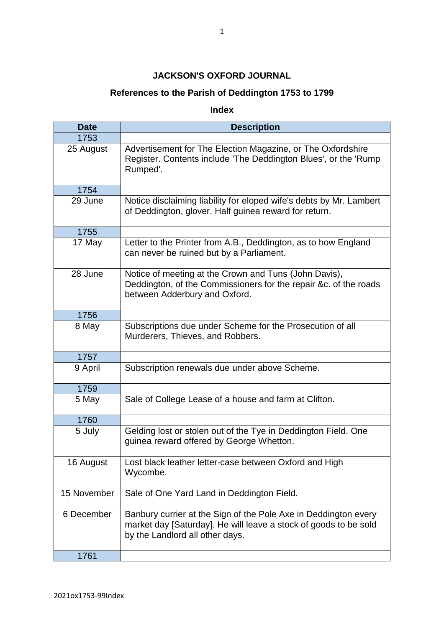## **JACKSON'S OXFORD JOURNAL**

## **References to the Parish of Deddington 1753 to 1799**

**Index** 

| <b>Date</b> | <b>Description</b>                                                                                                                                                     |
|-------------|------------------------------------------------------------------------------------------------------------------------------------------------------------------------|
| 1753        |                                                                                                                                                                        |
| 25 August   | Advertisement for The Election Magazine, or The Oxfordshire<br>Register. Contents include 'The Deddington Blues', or the 'Rump<br>Rumped'.                             |
| 1754        |                                                                                                                                                                        |
| 29 June     | Notice disclaiming liability for eloped wife's debts by Mr. Lambert<br>of Deddington, glover. Half guinea reward for return.                                           |
| 1755        |                                                                                                                                                                        |
| 17 May      | Letter to the Printer from A.B., Deddington, as to how England<br>can never be ruined but by a Parliament.                                                             |
| 28 June     | Notice of meeting at the Crown and Tuns (John Davis),<br>Deddington, of the Commissioners for the repair &c. of the roads<br>between Adderbury and Oxford.             |
| 1756        |                                                                                                                                                                        |
| 8 May       | Subscriptions due under Scheme for the Prosecution of all<br>Murderers, Thieves, and Robbers.                                                                          |
| 1757        |                                                                                                                                                                        |
| 9 April     | Subscription renewals due under above Scheme.                                                                                                                          |
| 1759        |                                                                                                                                                                        |
| 5 May       | Sale of College Lease of a house and farm at Clifton.                                                                                                                  |
| 1760        |                                                                                                                                                                        |
| 5 July      | Gelding lost or stolen out of the Tye in Deddington Field. One<br>guinea reward offered by George Whetton.                                                             |
| 16 August   | Lost black leather letter-case between Oxford and High<br>Wycombe.                                                                                                     |
| 15 November | Sale of One Yard Land in Deddington Field.                                                                                                                             |
| 6 December  | Banbury currier at the Sign of the Pole Axe in Deddington every<br>market day [Saturday]. He will leave a stock of goods to be sold<br>by the Landlord all other days. |
| 1761        |                                                                                                                                                                        |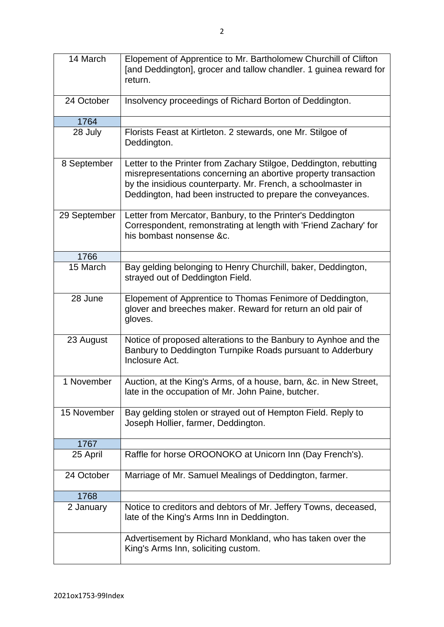| 14 March     | Elopement of Apprentice to Mr. Bartholomew Churchill of Clifton<br>[and Deddington], grocer and tallow chandler. 1 guinea reward for<br>return.                                                                                                                    |
|--------------|--------------------------------------------------------------------------------------------------------------------------------------------------------------------------------------------------------------------------------------------------------------------|
| 24 October   | Insolvency proceedings of Richard Borton of Deddington.                                                                                                                                                                                                            |
| 1764         |                                                                                                                                                                                                                                                                    |
| 28 July      | Florists Feast at Kirtleton. 2 stewards, one Mr. Stilgoe of<br>Deddington.                                                                                                                                                                                         |
| 8 September  | Letter to the Printer from Zachary Stilgoe, Deddington, rebutting<br>misrepresentations concerning an abortive property transaction<br>by the insidious counterparty. Mr. French, a schoolmaster in<br>Deddington, had been instructed to prepare the conveyances. |
| 29 September | Letter from Mercator, Banbury, to the Printer's Deddington<br>Correspondent, remonstrating at length with 'Friend Zachary' for<br>his bombast nonsense &c.                                                                                                         |
| 1766         |                                                                                                                                                                                                                                                                    |
| 15 March     | Bay gelding belonging to Henry Churchill, baker, Deddington,<br>strayed out of Deddington Field.                                                                                                                                                                   |
| 28 June      | Elopement of Apprentice to Thomas Fenimore of Deddington,<br>glover and breeches maker. Reward for return an old pair of<br>gloves.                                                                                                                                |
| 23 August    | Notice of proposed alterations to the Banbury to Aynhoe and the<br>Banbury to Deddington Turnpike Roads pursuant to Adderbury<br>Inclosure Act.                                                                                                                    |
| 1 November   | Auction, at the King's Arms, of a house, barn, &c. in New Street,<br>late in the occupation of Mr. John Paine, butcher.                                                                                                                                            |
| 15 November  | Bay gelding stolen or strayed out of Hempton Field. Reply to<br>Joseph Hollier, farmer, Deddington.                                                                                                                                                                |
| 1767         |                                                                                                                                                                                                                                                                    |
| 25 April     | Raffle for horse OROONOKO at Unicorn Inn (Day French's).                                                                                                                                                                                                           |
| 24 October   | Marriage of Mr. Samuel Mealings of Deddington, farmer.                                                                                                                                                                                                             |
| 1768         |                                                                                                                                                                                                                                                                    |
| 2 January    | Notice to creditors and debtors of Mr. Jeffery Towns, deceased,<br>late of the King's Arms Inn in Deddington.                                                                                                                                                      |
|              | Advertisement by Richard Monkland, who has taken over the<br>King's Arms Inn, soliciting custom.                                                                                                                                                                   |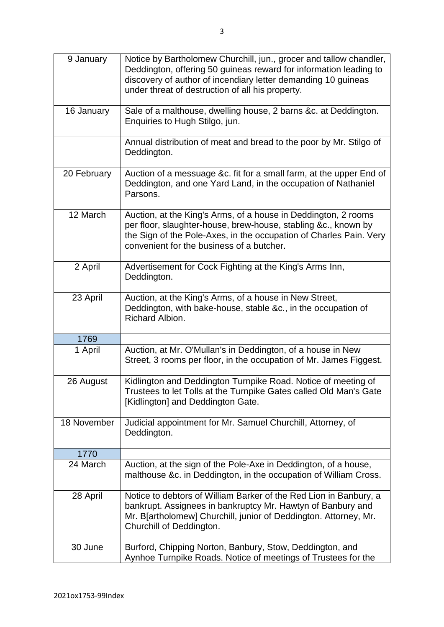| 9 January   | Notice by Bartholomew Churchill, jun., grocer and tallow chandler,<br>Deddington, offering 50 guineas reward for information leading to<br>discovery of author of incendiary letter demanding 10 guineas<br>under threat of destruction of all his property. |
|-------------|--------------------------------------------------------------------------------------------------------------------------------------------------------------------------------------------------------------------------------------------------------------|
| 16 January  | Sale of a malthouse, dwelling house, 2 barns &c. at Deddington.<br>Enquiries to Hugh Stilgo, jun.                                                                                                                                                            |
|             | Annual distribution of meat and bread to the poor by Mr. Stilgo of<br>Deddington.                                                                                                                                                                            |
| 20 February | Auction of a messuage &c. fit for a small farm, at the upper End of<br>Deddington, and one Yard Land, in the occupation of Nathaniel<br>Parsons.                                                                                                             |
| 12 March    | Auction, at the King's Arms, of a house in Deddington, 2 rooms<br>per floor, slaughter-house, brew-house, stabling &c., known by<br>the Sign of the Pole-Axes, in the occupation of Charles Pain. Very<br>convenient for the business of a butcher.          |
| 2 April     | Advertisement for Cock Fighting at the King's Arms Inn,<br>Deddington.                                                                                                                                                                                       |
| 23 April    | Auction, at the King's Arms, of a house in New Street,<br>Deddington, with bake-house, stable &c., in the occupation of<br>Richard Albion.                                                                                                                   |
| 1769        |                                                                                                                                                                                                                                                              |
| 1 April     | Auction, at Mr. O'Mullan's in Deddington, of a house in New<br>Street, 3 rooms per floor, in the occupation of Mr. James Figgest.                                                                                                                            |
| 26 August   | Kidlington and Deddington Turnpike Road. Notice of meeting of<br>Trustees to let Tolls at the Turnpike Gates called Old Man's Gate<br>[Kidlington] and Deddington Gate.                                                                                      |
| 18 November | Judicial appointment for Mr. Samuel Churchill, Attorney, of<br>Deddington.                                                                                                                                                                                   |
| 1770        |                                                                                                                                                                                                                                                              |
| 24 March    | Auction, at the sign of the Pole-Axe in Deddington, of a house,<br>malthouse &c. in Deddington, in the occupation of William Cross.                                                                                                                          |
| 28 April    | Notice to debtors of William Barker of the Red Lion in Banbury, a<br>bankrupt. Assignees in bankruptcy Mr. Hawtyn of Banbury and<br>Mr. B[artholomew] Churchill, junior of Deddington. Attorney, Mr.<br>Churchill of Deddington.                             |
| 30 June     | Burford, Chipping Norton, Banbury, Stow, Deddington, and<br>Aynhoe Turnpike Roads. Notice of meetings of Trustees for the                                                                                                                                    |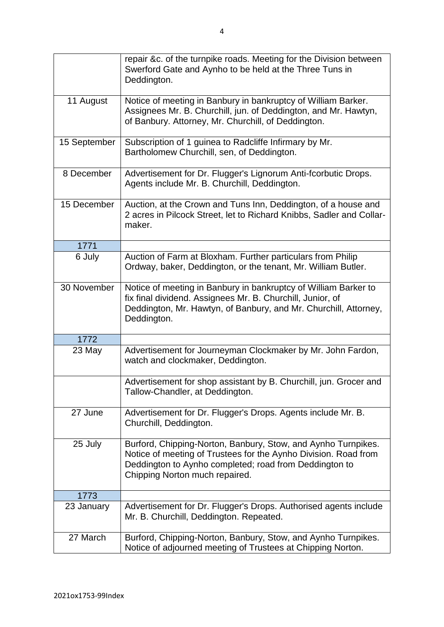|              | repair &c. of the turnpike roads. Meeting for the Division between<br>Swerford Gate and Aynho to be held at the Three Tuns in<br>Deddington.                                                                                 |
|--------------|------------------------------------------------------------------------------------------------------------------------------------------------------------------------------------------------------------------------------|
| 11 August    | Notice of meeting in Banbury in bankruptcy of William Barker.<br>Assignees Mr. B. Churchill, jun. of Deddington, and Mr. Hawtyn,<br>of Banbury. Attorney, Mr. Churchill, of Deddington.                                      |
| 15 September | Subscription of 1 guinea to Radcliffe Infirmary by Mr.<br>Bartholomew Churchill, sen, of Deddington.                                                                                                                         |
| 8 December   | Advertisement for Dr. Flugger's Lignorum Anti-fcorbutic Drops.<br>Agents include Mr. B. Churchill, Deddington.                                                                                                               |
| 15 December  | Auction, at the Crown and Tuns Inn, Deddington, of a house and<br>2 acres in Pilcock Street, let to Richard Knibbs, Sadler and Collar-<br>maker.                                                                             |
| 1771         |                                                                                                                                                                                                                              |
| 6 July       | Auction of Farm at Bloxham. Further particulars from Philip<br>Ordway, baker, Deddington, or the tenant, Mr. William Butler.                                                                                                 |
| 30 November  | Notice of meeting in Banbury in bankruptcy of William Barker to<br>fix final dividend. Assignees Mr. B. Churchill, Junior, of<br>Deddington, Mr. Hawtyn, of Banbury, and Mr. Churchill, Attorney,<br>Deddington.             |
| 1772         |                                                                                                                                                                                                                              |
| 23 May       | Advertisement for Journeyman Clockmaker by Mr. John Fardon,<br>watch and clockmaker, Deddington.                                                                                                                             |
|              | Advertisement for shop assistant by B. Churchill, jun. Grocer and<br>Tallow-Chandler, at Deddington.                                                                                                                         |
| 27 June      | Advertisement for Dr. Flugger's Drops. Agents include Mr. B.<br>Churchill, Deddington.                                                                                                                                       |
| 25 July      | Burford, Chipping-Norton, Banbury, Stow, and Aynho Turnpikes.<br>Notice of meeting of Trustees for the Aynho Division. Road from<br>Deddington to Aynho completed; road from Deddington to<br>Chipping Norton much repaired. |
| 1773         |                                                                                                                                                                                                                              |
| 23 January   | Advertisement for Dr. Flugger's Drops. Authorised agents include<br>Mr. B. Churchill, Deddington. Repeated.                                                                                                                  |
| 27 March     | Burford, Chipping-Norton, Banbury, Stow, and Aynho Turnpikes.<br>Notice of adjourned meeting of Trustees at Chipping Norton.                                                                                                 |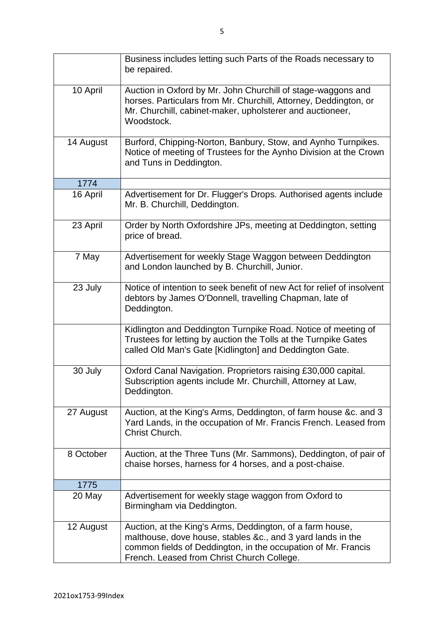|           | Business includes letting such Parts of the Roads necessary to<br>be repaired.                                                                                                                                                          |
|-----------|-----------------------------------------------------------------------------------------------------------------------------------------------------------------------------------------------------------------------------------------|
| 10 April  | Auction in Oxford by Mr. John Churchill of stage-waggons and<br>horses. Particulars from Mr. Churchill, Attorney, Deddington, or<br>Mr. Churchill, cabinet-maker, upholsterer and auctioneer,<br>Woodstock.                             |
| 14 August | Burford, Chipping-Norton, Banbury, Stow, and Aynho Turnpikes.<br>Notice of meeting of Trustees for the Aynho Division at the Crown<br>and Tuns in Deddington.                                                                           |
| 1774      |                                                                                                                                                                                                                                         |
| 16 April  | Advertisement for Dr. Flugger's Drops. Authorised agents include<br>Mr. B. Churchill, Deddington.                                                                                                                                       |
| 23 April  | Order by North Oxfordshire JPs, meeting at Deddington, setting<br>price of bread.                                                                                                                                                       |
| 7 May     | Advertisement for weekly Stage Waggon between Deddington<br>and London launched by B. Churchill, Junior.                                                                                                                                |
| 23 July   | Notice of intention to seek benefit of new Act for relief of insolvent<br>debtors by James O'Donnell, travelling Chapman, late of<br>Deddington.                                                                                        |
|           | Kidlington and Deddington Turnpike Road. Notice of meeting of<br>Trustees for letting by auction the Tolls at the Turnpike Gates<br>called Old Man's Gate [Kidlington] and Deddington Gate.                                             |
| 30 July   | Oxford Canal Navigation. Proprietors raising £30,000 capital.<br>Subscription agents include Mr. Churchill, Attorney at Law,<br>Deddington.                                                                                             |
| 27 August | Auction, at the King's Arms, Deddington, of farm house &c. and 3<br>Yard Lands, in the occupation of Mr. Francis French. Leased from<br>Christ Church.                                                                                  |
| 8 October | Auction, at the Three Tuns (Mr. Sammons), Deddington, of pair of<br>chaise horses, harness for 4 horses, and a post-chaise.                                                                                                             |
| 1775      |                                                                                                                                                                                                                                         |
| 20 May    | Advertisement for weekly stage waggon from Oxford to<br>Birmingham via Deddington.                                                                                                                                                      |
| 12 August | Auction, at the King's Arms, Deddington, of a farm house,<br>malthouse, dove house, stables &c., and 3 yard lands in the<br>common fields of Deddington, in the occupation of Mr. Francis<br>French. Leased from Christ Church College. |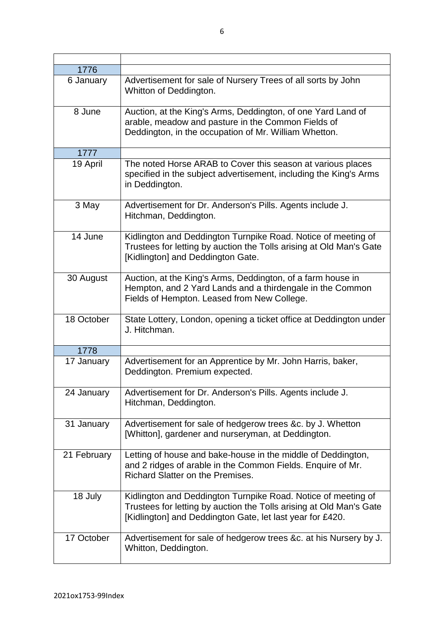| 1776        |                                                                                                                                                                                                   |
|-------------|---------------------------------------------------------------------------------------------------------------------------------------------------------------------------------------------------|
| 6 January   | Advertisement for sale of Nursery Trees of all sorts by John<br>Whitton of Deddington.                                                                                                            |
| 8 June      | Auction, at the King's Arms, Deddington, of one Yard Land of<br>arable, meadow and pasture in the Common Fields of<br>Deddington, in the occupation of Mr. William Whetton.                       |
| 1777        |                                                                                                                                                                                                   |
| 19 April    | The noted Horse ARAB to Cover this season at various places<br>specified in the subject advertisement, including the King's Arms<br>in Deddington.                                                |
| 3 May       | Advertisement for Dr. Anderson's Pills. Agents include J.<br>Hitchman, Deddington.                                                                                                                |
| 14 June     | Kidlington and Deddington Turnpike Road. Notice of meeting of<br>Trustees for letting by auction the Tolls arising at Old Man's Gate<br>[Kidlington] and Deddington Gate.                         |
| 30 August   | Auction, at the King's Arms, Deddington, of a farm house in<br>Hempton, and 2 Yard Lands and a thirdengale in the Common<br>Fields of Hempton. Leased from New College.                           |
| 18 October  | State Lottery, London, opening a ticket office at Deddington under<br>J. Hitchman.                                                                                                                |
| 1778        |                                                                                                                                                                                                   |
| 17 January  | Advertisement for an Apprentice by Mr. John Harris, baker,<br>Deddington. Premium expected.                                                                                                       |
| 24 January  | Advertisement for Dr. Anderson's Pills. Agents include J.<br>Hitchman, Deddington.                                                                                                                |
| 31 January  | Advertisement for sale of hedgerow trees &c. by J. Whetton<br>[Whitton], gardener and nurseryman, at Deddington.                                                                                  |
| 21 February | Letting of house and bake-house in the middle of Deddington,<br>and 2 ridges of arable in the Common Fields. Enquire of Mr.<br>Richard Slatter on the Premises.                                   |
| 18 July     | Kidlington and Deddington Turnpike Road. Notice of meeting of<br>Trustees for letting by auction the Tolls arising at Old Man's Gate<br>[Kidlington] and Deddington Gate, let last year for £420. |
| 17 October  | Advertisement for sale of hedgerow trees &c. at his Nursery by J.<br>Whitton, Deddington.                                                                                                         |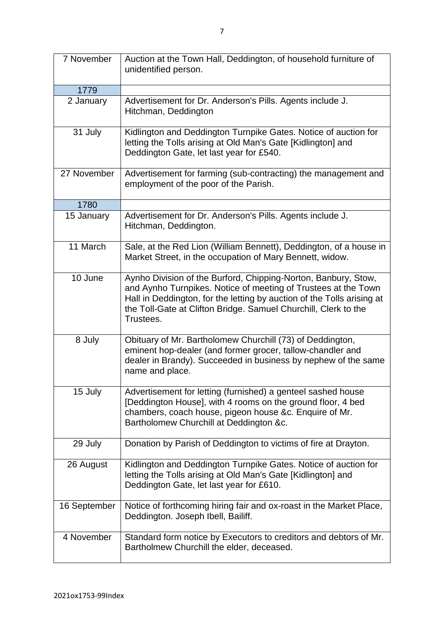| 7 November   | Auction at the Town Hall, Deddington, of household furniture of<br>unidentified person.                                                                                                                                                                                                    |
|--------------|--------------------------------------------------------------------------------------------------------------------------------------------------------------------------------------------------------------------------------------------------------------------------------------------|
| 1779         |                                                                                                                                                                                                                                                                                            |
| 2 January    | Advertisement for Dr. Anderson's Pills. Agents include J.<br>Hitchman, Deddington                                                                                                                                                                                                          |
| 31 July      | Kidlington and Deddington Turnpike Gates. Notice of auction for<br>letting the Tolls arising at Old Man's Gate [Kidlington] and<br>Deddington Gate, let last year for £540.                                                                                                                |
| 27 November  | Advertisement for farming (sub-contracting) the management and<br>employment of the poor of the Parish.                                                                                                                                                                                    |
| 1780         |                                                                                                                                                                                                                                                                                            |
| 15 January   | Advertisement for Dr. Anderson's Pills. Agents include J.<br>Hitchman, Deddington.                                                                                                                                                                                                         |
| 11 March     | Sale, at the Red Lion (William Bennett), Deddington, of a house in<br>Market Street, in the occupation of Mary Bennett, widow.                                                                                                                                                             |
| 10 June      | Aynho Division of the Burford, Chipping-Norton, Banbury, Stow,<br>and Aynho Turnpikes. Notice of meeting of Trustees at the Town<br>Hall in Deddington, for the letting by auction of the Tolls arising at<br>the Toll-Gate at Clifton Bridge. Samuel Churchill, Clerk to the<br>Trustees. |
| 8 July       | Obituary of Mr. Bartholomew Churchill (73) of Deddington,<br>eminent hop-dealer (and former grocer, tallow-chandler and<br>dealer in Brandy). Succeeded in business by nephew of the same<br>name and place.                                                                               |
| 15 July      | Advertisement for letting (furnished) a genteel sashed house<br>[Deddington House], with 4 rooms on the ground floor, 4 bed<br>chambers, coach house, pigeon house &c. Enquire of Mr.<br>Bartholomew Churchill at Deddington &c.                                                           |
| 29 July      | Donation by Parish of Deddington to victims of fire at Drayton.                                                                                                                                                                                                                            |
| 26 August    | Kidlington and Deddington Turnpike Gates. Notice of auction for<br>letting the Tolls arising at Old Man's Gate [Kidlington] and<br>Deddington Gate, let last year for £610.                                                                                                                |
| 16 September | Notice of forthcoming hiring fair and ox-roast in the Market Place,<br>Deddington. Joseph Ibell, Bailiff.                                                                                                                                                                                  |
| 4 November   | Standard form notice by Executors to creditors and debtors of Mr.<br>Bartholmew Churchill the elder, deceased.                                                                                                                                                                             |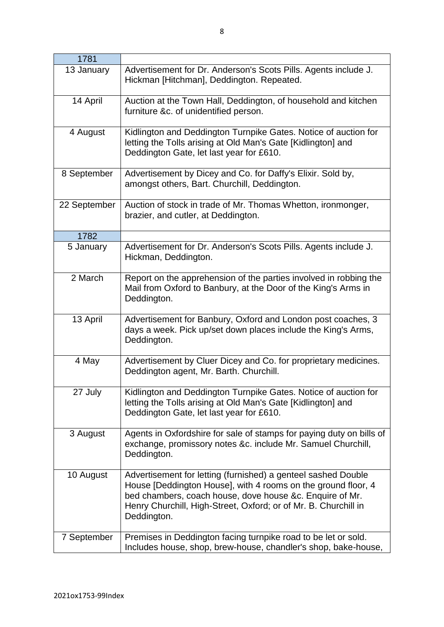| 1781         |                                                                                                                                                                                                                                                                              |
|--------------|------------------------------------------------------------------------------------------------------------------------------------------------------------------------------------------------------------------------------------------------------------------------------|
| 13 January   | Advertisement for Dr. Anderson's Scots Pills. Agents include J.<br>Hickman [Hitchman], Deddington. Repeated.                                                                                                                                                                 |
| 14 April     | Auction at the Town Hall, Deddington, of household and kitchen<br>furniture &c. of unidentified person.                                                                                                                                                                      |
| 4 August     | Kidlington and Deddington Turnpike Gates. Notice of auction for<br>letting the Tolls arising at Old Man's Gate [Kidlington] and<br>Deddington Gate, let last year for £610.                                                                                                  |
| 8 September  | Advertisement by Dicey and Co. for Daffy's Elixir. Sold by,<br>amongst others, Bart. Churchill, Deddington.                                                                                                                                                                  |
| 22 September | Auction of stock in trade of Mr. Thomas Whetton, ironmonger,<br>brazier, and cutler, at Deddington.                                                                                                                                                                          |
| 1782         |                                                                                                                                                                                                                                                                              |
| 5 January    | Advertisement for Dr. Anderson's Scots Pills. Agents include J.<br>Hickman, Deddington.                                                                                                                                                                                      |
| 2 March      | Report on the apprehension of the parties involved in robbing the<br>Mail from Oxford to Banbury, at the Door of the King's Arms in<br>Deddington.                                                                                                                           |
| 13 April     | Advertisement for Banbury, Oxford and London post coaches, 3<br>days a week. Pick up/set down places include the King's Arms,<br>Deddington.                                                                                                                                 |
| 4 May        | Advertisement by Cluer Dicey and Co. for proprietary medicines.<br>Deddington agent, Mr. Barth. Churchill.                                                                                                                                                                   |
| 27 July      | Kidlington and Deddington Turnpike Gates. Notice of auction for<br>letting the Tolls arising at Old Man's Gate [Kidlington] and<br>Deddington Gate, let last year for £610.                                                                                                  |
| 3 August     | Agents in Oxfordshire for sale of stamps for paying duty on bills of<br>exchange, promissory notes &c. include Mr. Samuel Churchill,<br>Deddington.                                                                                                                          |
| 10 August    | Advertisement for letting (furnished) a genteel sashed Double<br>House [Deddington House], with 4 rooms on the ground floor, 4<br>bed chambers, coach house, dove house &c. Enquire of Mr.<br>Henry Churchill, High-Street, Oxford; or of Mr. B. Churchill in<br>Deddington. |
| 7 September  | Premises in Deddington facing turnpike road to be let or sold.<br>Includes house, shop, brew-house, chandler's shop, bake-house,                                                                                                                                             |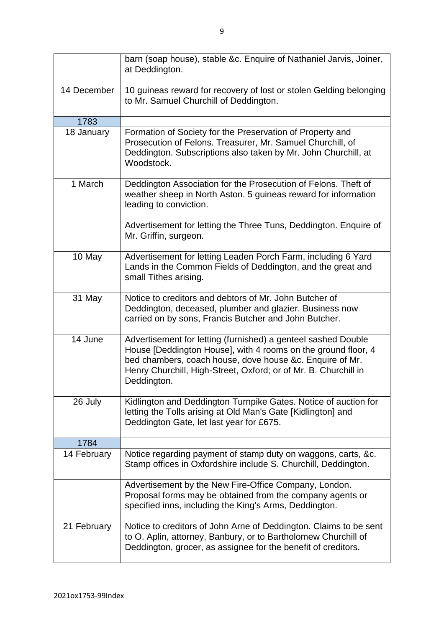|             | barn (soap house), stable &c. Enquire of Nathaniel Jarvis, Joiner,<br>at Deddington.                                                                                                                                                                                         |
|-------------|------------------------------------------------------------------------------------------------------------------------------------------------------------------------------------------------------------------------------------------------------------------------------|
| 14 December | 10 guineas reward for recovery of lost or stolen Gelding belonging<br>to Mr. Samuel Churchill of Deddington.                                                                                                                                                                 |
| 1783        |                                                                                                                                                                                                                                                                              |
| 18 January  | Formation of Society for the Preservation of Property and<br>Prosecution of Felons. Treasurer, Mr. Samuel Churchill, of<br>Deddington. Subscriptions also taken by Mr. John Churchill, at<br>Woodstock.                                                                      |
| 1 March     | Deddington Association for the Prosecution of Felons. Theft of<br>weather sheep in North Aston. 5 guineas reward for information<br>leading to conviction.                                                                                                                   |
|             | Advertisement for letting the Three Tuns, Deddington. Enquire of<br>Mr. Griffin, surgeon.                                                                                                                                                                                    |
| 10 May      | Advertisement for letting Leaden Porch Farm, including 6 Yard<br>Lands in the Common Fields of Deddington, and the great and<br>small Tithes arising.                                                                                                                        |
| 31 May      | Notice to creditors and debtors of Mr. John Butcher of<br>Deddington, deceased, plumber and glazier. Business now<br>carried on by sons, Francis Butcher and John Butcher.                                                                                                   |
| 14 June     | Advertisement for letting (furnished) a genteel sashed Double<br>House [Deddington House], with 4 rooms on the ground floor, 4<br>bed chambers, coach house, dove house &c. Enquire of Mr.<br>Henry Churchill, High-Street, Oxford; or of Mr. B. Churchill in<br>Deddington. |
| 26 July     | Kidlington and Deddington Turnpike Gates. Notice of auction for<br>letting the Tolls arising at Old Man's Gate [Kidlington] and<br>Deddington Gate, let last year for £675.                                                                                                  |
| 1784        |                                                                                                                                                                                                                                                                              |
| 14 February | Notice regarding payment of stamp duty on waggons, carts, &c.<br>Stamp offices in Oxfordshire include S. Churchill, Deddington.                                                                                                                                              |
|             | Advertisement by the New Fire-Office Company, London.<br>Proposal forms may be obtained from the company agents or<br>specified inns, including the King's Arms, Deddington.                                                                                                 |
| 21 February | Notice to creditors of John Arne of Deddington. Claims to be sent<br>to O. Aplin, attorney, Banbury, or to Bartholomew Churchill of<br>Deddington, grocer, as assignee for the benefit of creditors.                                                                         |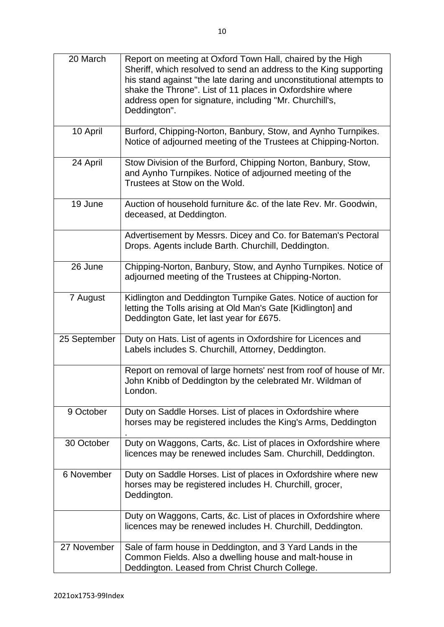| 20 March     | Report on meeting at Oxford Town Hall, chaired by the High<br>Sheriff, which resolved to send an address to the King supporting<br>his stand against "the late daring and unconstitutional attempts to<br>shake the Throne". List of 11 places in Oxfordshire where<br>address open for signature, including "Mr. Churchill's,<br>Deddington". |
|--------------|------------------------------------------------------------------------------------------------------------------------------------------------------------------------------------------------------------------------------------------------------------------------------------------------------------------------------------------------|
| 10 April     | Burford, Chipping-Norton, Banbury, Stow, and Aynho Turnpikes.<br>Notice of adjourned meeting of the Trustees at Chipping-Norton.                                                                                                                                                                                                               |
| 24 April     | Stow Division of the Burford, Chipping Norton, Banbury, Stow,<br>and Aynho Turnpikes. Notice of adjourned meeting of the<br>Trustees at Stow on the Wold.                                                                                                                                                                                      |
| 19 June      | Auction of household furniture &c. of the late Rev. Mr. Goodwin,<br>deceased, at Deddington.                                                                                                                                                                                                                                                   |
|              | Advertisement by Messrs. Dicey and Co. for Bateman's Pectoral<br>Drops. Agents include Barth. Churchill, Deddington.                                                                                                                                                                                                                           |
| 26 June      | Chipping-Norton, Banbury, Stow, and Aynho Turnpikes. Notice of<br>adjourned meeting of the Trustees at Chipping-Norton.                                                                                                                                                                                                                        |
| 7 August     | Kidlington and Deddington Turnpike Gates. Notice of auction for<br>letting the Tolls arising at Old Man's Gate [Kidlington] and<br>Deddington Gate, let last year for £675.                                                                                                                                                                    |
| 25 September | Duty on Hats. List of agents in Oxfordshire for Licences and<br>Labels includes S. Churchill, Attorney, Deddington.                                                                                                                                                                                                                            |
|              | Report on removal of large hornets' nest from roof of house of Mr.<br>John Knibb of Deddington by the celebrated Mr. Wildman of<br>London.                                                                                                                                                                                                     |
| 9 October    | Duty on Saddle Horses. List of places in Oxfordshire where<br>horses may be registered includes the King's Arms, Deddington                                                                                                                                                                                                                    |
| 30 October   | Duty on Waggons, Carts, &c. List of places in Oxfordshire where<br>licences may be renewed includes Sam. Churchill, Deddington.                                                                                                                                                                                                                |
| 6 November   | Duty on Saddle Horses. List of places in Oxfordshire where new<br>horses may be registered includes H. Churchill, grocer,<br>Deddington.                                                                                                                                                                                                       |
|              | Duty on Waggons, Carts, &c. List of places in Oxfordshire where<br>licences may be renewed includes H. Churchill, Deddington.                                                                                                                                                                                                                  |
| 27 November  | Sale of farm house in Deddington, and 3 Yard Lands in the<br>Common Fields. Also a dwelling house and malt-house in<br>Deddington. Leased from Christ Church College.                                                                                                                                                                          |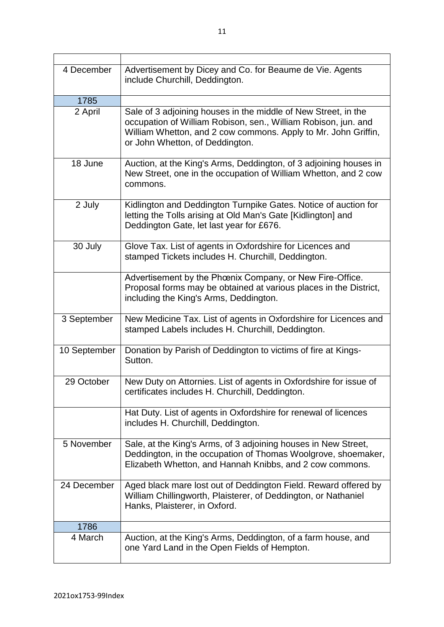| 4 December   | Advertisement by Dicey and Co. for Beaume de Vie. Agents<br>include Churchill, Deddington.                                                                                                                                            |
|--------------|---------------------------------------------------------------------------------------------------------------------------------------------------------------------------------------------------------------------------------------|
| 1785         |                                                                                                                                                                                                                                       |
| 2 April      | Sale of 3 adjoining houses in the middle of New Street, in the<br>occupation of William Robison, sen., William Robison, jun. and<br>William Whetton, and 2 cow commons. Apply to Mr. John Griffin,<br>or John Whetton, of Deddington. |
| 18 June      | Auction, at the King's Arms, Deddington, of 3 adjoining houses in<br>New Street, one in the occupation of William Whetton, and 2 cow<br>commons.                                                                                      |
| 2 July       | Kidlington and Deddington Turnpike Gates. Notice of auction for<br>letting the Tolls arising at Old Man's Gate [Kidlington] and<br>Deddington Gate, let last year for £676.                                                           |
| 30 July      | Glove Tax. List of agents in Oxfordshire for Licences and<br>stamped Tickets includes H. Churchill, Deddington.                                                                                                                       |
|              | Advertisement by the Phœnix Company, or New Fire-Office.<br>Proposal forms may be obtained at various places in the District,<br>including the King's Arms, Deddington.                                                               |
| 3 September  | New Medicine Tax. List of agents in Oxfordshire for Licences and<br>stamped Labels includes H. Churchill, Deddington.                                                                                                                 |
| 10 September | Donation by Parish of Deddington to victims of fire at Kings-<br>Sutton.                                                                                                                                                              |
| 29 October   | New Duty on Attornies. List of agents in Oxfordshire for issue of<br>certificates includes H. Churchill, Deddington.                                                                                                                  |
|              | Hat Duty. List of agents in Oxfordshire for renewal of licences<br>includes H. Churchill, Deddington.                                                                                                                                 |
| 5 November   | Sale, at the King's Arms, of 3 adjoining houses in New Street,<br>Deddington, in the occupation of Thomas Woolgrove, shoemaker,<br>Elizabeth Whetton, and Hannah Knibbs, and 2 cow commons.                                           |
| 24 December  | Aged black mare lost out of Deddington Field. Reward offered by<br>William Chillingworth, Plaisterer, of Deddington, or Nathaniel<br>Hanks, Plaisterer, in Oxford.                                                                    |
| 1786         |                                                                                                                                                                                                                                       |
| 4 March      | Auction, at the King's Arms, Deddington, of a farm house, and<br>one Yard Land in the Open Fields of Hempton.                                                                                                                         |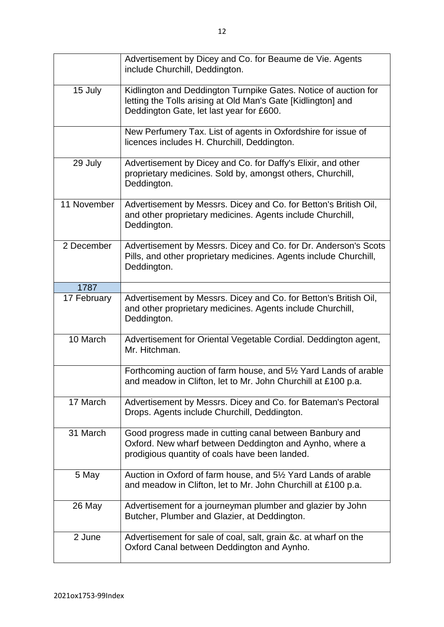|             | Advertisement by Dicey and Co. for Beaume de Vie. Agents<br>include Churchill, Deddington.                                                                                  |
|-------------|-----------------------------------------------------------------------------------------------------------------------------------------------------------------------------|
| 15 July     | Kidlington and Deddington Turnpike Gates. Notice of auction for<br>letting the Tolls arising at Old Man's Gate [Kidlington] and<br>Deddington Gate, let last year for £600. |
|             | New Perfumery Tax. List of agents in Oxfordshire for issue of<br>licences includes H. Churchill, Deddington.                                                                |
| 29 July     | Advertisement by Dicey and Co. for Daffy's Elixir, and other<br>proprietary medicines. Sold by, amongst others, Churchill,<br>Deddington.                                   |
| 11 November | Advertisement by Messrs. Dicey and Co. for Betton's British Oil,<br>and other proprietary medicines. Agents include Churchill,<br>Deddington.                               |
| 2 December  | Advertisement by Messrs. Dicey and Co. for Dr. Anderson's Scots<br>Pills, and other proprietary medicines. Agents include Churchill,<br>Deddington.                         |
| 1787        |                                                                                                                                                                             |
| 17 February | Advertisement by Messrs. Dicey and Co. for Betton's British Oil,<br>and other proprietary medicines. Agents include Churchill,<br>Deddington.                               |
| 10 March    | Advertisement for Oriental Vegetable Cordial. Deddington agent,<br>Mr. Hitchman.                                                                                            |
|             | Forthcoming auction of farm house, and 51/2 Yard Lands of arable<br>and meadow in Clifton, let to Mr. John Churchill at £100 p.a.                                           |
| 17 March    | Advertisement by Messrs. Dicey and Co. for Bateman's Pectoral<br>Drops. Agents include Churchill, Deddington.                                                               |
| 31 March    | Good progress made in cutting canal between Banbury and<br>Oxford. New wharf between Deddington and Aynho, where a<br>prodigious quantity of coals have been landed.        |
| 5 May       | Auction in Oxford of farm house, and 5 <sup>1/2</sup> Yard Lands of arable<br>and meadow in Clifton, let to Mr. John Churchill at £100 p.a.                                 |
| 26 May      | Advertisement for a journeyman plumber and glazier by John<br>Butcher, Plumber and Glazier, at Deddington.                                                                  |
| 2 June      | Advertisement for sale of coal, salt, grain &c. at wharf on the<br>Oxford Canal between Deddington and Aynho.                                                               |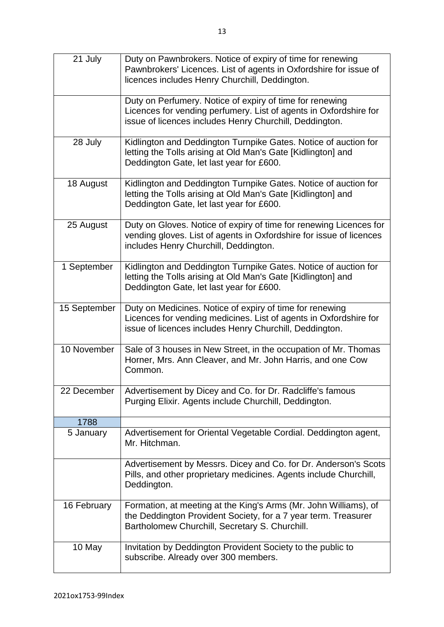| 21 July      | Duty on Pawnbrokers. Notice of expiry of time for renewing<br>Pawnbrokers' Licences. List of agents in Oxfordshire for issue of<br>licences includes Henry Churchill, Deddington.        |
|--------------|------------------------------------------------------------------------------------------------------------------------------------------------------------------------------------------|
|              | Duty on Perfumery. Notice of expiry of time for renewing<br>Licences for vending perfumery. List of agents in Oxfordshire for<br>issue of licences includes Henry Churchill, Deddington. |
| 28 July      | Kidlington and Deddington Turnpike Gates. Notice of auction for<br>letting the Tolls arising at Old Man's Gate [Kidlington] and<br>Deddington Gate, let last year for £600.              |
| 18 August    | Kidlington and Deddington Turnpike Gates. Notice of auction for<br>letting the Tolls arising at Old Man's Gate [Kidlington] and<br>Deddington Gate, let last year for £600.              |
| 25 August    | Duty on Gloves. Notice of expiry of time for renewing Licences for<br>vending gloves. List of agents in Oxfordshire for issue of licences<br>includes Henry Churchill, Deddington.       |
| 1 September  | Kidlington and Deddington Turnpike Gates. Notice of auction for<br>letting the Tolls arising at Old Man's Gate [Kidlington] and<br>Deddington Gate, let last year for £600.              |
| 15 September | Duty on Medicines. Notice of expiry of time for renewing<br>Licences for vending medicines. List of agents in Oxfordshire for<br>issue of licences includes Henry Churchill, Deddington. |
| 10 November  | Sale of 3 houses in New Street, in the occupation of Mr. Thomas<br>Horner, Mrs. Ann Cleaver, and Mr. John Harris, and one Cow<br>Common.                                                 |
| 22 December  | Advertisement by Dicey and Co. for Dr. Radcliffe's famous<br>Purging Elixir. Agents include Churchill, Deddington.                                                                       |
| 1788         |                                                                                                                                                                                          |
| 5 January    | Advertisement for Oriental Vegetable Cordial. Deddington agent,<br>Mr. Hitchman.                                                                                                         |
|              | Advertisement by Messrs. Dicey and Co. for Dr. Anderson's Scots<br>Pills, and other proprietary medicines. Agents include Churchill,<br>Deddington.                                      |
| 16 February  | Formation, at meeting at the King's Arms (Mr. John Williams), of<br>the Deddington Provident Society, for a 7 year term. Treasurer<br>Bartholomew Churchill, Secretary S. Churchill.     |
| 10 May       | Invitation by Deddington Provident Society to the public to<br>subscribe. Already over 300 members.                                                                                      |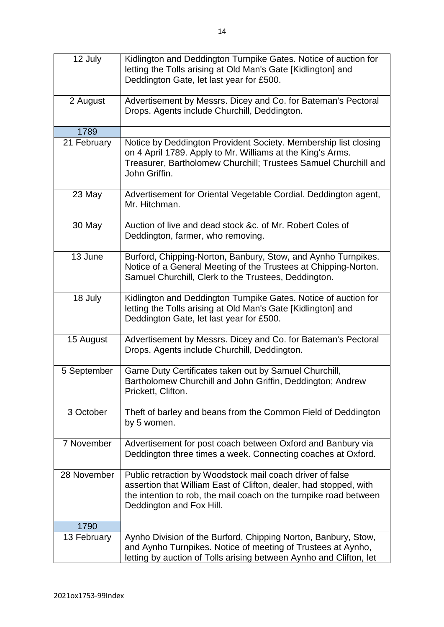| 12 July     | Kidlington and Deddington Turnpike Gates. Notice of auction for<br>letting the Tolls arising at Old Man's Gate [Kidlington] and<br>Deddington Gate, let last year for £500.                                                     |
|-------------|---------------------------------------------------------------------------------------------------------------------------------------------------------------------------------------------------------------------------------|
|             |                                                                                                                                                                                                                                 |
| 2 August    | Advertisement by Messrs. Dicey and Co. for Bateman's Pectoral<br>Drops. Agents include Churchill, Deddington.                                                                                                                   |
| 1789        |                                                                                                                                                                                                                                 |
| 21 February | Notice by Deddington Provident Society. Membership list closing<br>on 4 April 1789. Apply to Mr. Williams at the King's Arms.<br>Treasurer, Bartholomew Churchill; Trustees Samuel Churchill and<br>John Griffin.               |
| 23 May      | Advertisement for Oriental Vegetable Cordial. Deddington agent,<br>Mr. Hitchman.                                                                                                                                                |
| 30 May      | Auction of live and dead stock &c. of Mr. Robert Coles of<br>Deddington, farmer, who removing.                                                                                                                                  |
| 13 June     | Burford, Chipping-Norton, Banbury, Stow, and Aynho Turnpikes.<br>Notice of a General Meeting of the Trustees at Chipping-Norton.<br>Samuel Churchill, Clerk to the Trustees, Deddington.                                        |
| 18 July     | Kidlington and Deddington Turnpike Gates. Notice of auction for<br>letting the Tolls arising at Old Man's Gate [Kidlington] and<br>Deddington Gate, let last year for £500.                                                     |
| 15 August   | Advertisement by Messrs. Dicey and Co. for Bateman's Pectoral<br>Drops. Agents include Churchill, Deddington.                                                                                                                   |
| 5 September | Game Duty Certificates taken out by Samuel Churchill,<br>Bartholomew Churchill and John Griffin, Deddington; Andrew<br>Prickett, Clifton.                                                                                       |
| 3 October   | Theft of barley and beans from the Common Field of Deddington<br>by 5 women.                                                                                                                                                    |
| 7 November  | Advertisement for post coach between Oxford and Banbury via<br>Deddington three times a week. Connecting coaches at Oxford.                                                                                                     |
| 28 November | Public retraction by Woodstock mail coach driver of false<br>assertion that William East of Clifton, dealer, had stopped, with<br>the intention to rob, the mail coach on the turnpike road between<br>Deddington and Fox Hill. |
| 1790        |                                                                                                                                                                                                                                 |
| 13 February | Aynho Division of the Burford, Chipping Norton, Banbury, Stow,<br>and Aynho Turnpikes. Notice of meeting of Trustees at Aynho,<br>letting by auction of Tolls arising between Aynho and Clifton, let                            |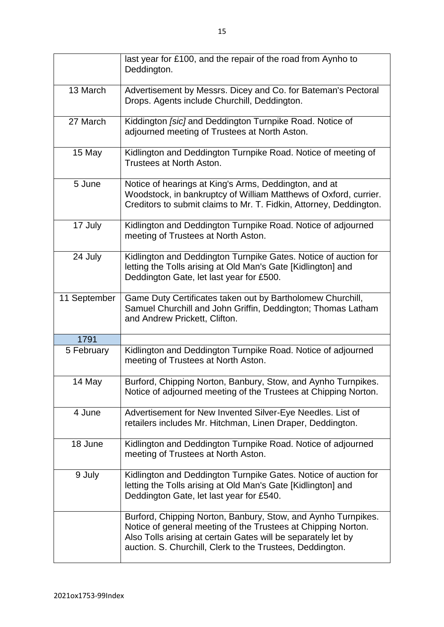|              | last year for £100, and the repair of the road from Aynho to<br>Deddington.                                                                                                                                                                                  |
|--------------|--------------------------------------------------------------------------------------------------------------------------------------------------------------------------------------------------------------------------------------------------------------|
| 13 March     | Advertisement by Messrs. Dicey and Co. for Bateman's Pectoral<br>Drops. Agents include Churchill, Deddington.                                                                                                                                                |
| 27 March     | Kiddington [sic] and Deddington Turnpike Road. Notice of<br>adjourned meeting of Trustees at North Aston.                                                                                                                                                    |
| 15 May       | Kidlington and Deddington Turnpike Road. Notice of meeting of<br>Trustees at North Aston.                                                                                                                                                                    |
| 5 June       | Notice of hearings at King's Arms, Deddington, and at<br>Woodstock, in bankruptcy of William Matthews of Oxford, currier.<br>Creditors to submit claims to Mr. T. Fidkin, Attorney, Deddington.                                                              |
| 17 July      | Kidlington and Deddington Turnpike Road. Notice of adjourned<br>meeting of Trustees at North Aston.                                                                                                                                                          |
| 24 July      | Kidlington and Deddington Turnpike Gates. Notice of auction for<br>letting the Tolls arising at Old Man's Gate [Kidlington] and<br>Deddington Gate, let last year for £500.                                                                                  |
| 11 September | Game Duty Certificates taken out by Bartholomew Churchill,<br>Samuel Churchill and John Griffin, Deddington; Thomas Latham<br>and Andrew Prickett, Clifton.                                                                                                  |
| 1791         |                                                                                                                                                                                                                                                              |
| 5 February   | Kidlington and Deddington Turnpike Road. Notice of adjourned<br>meeting of Trustees at North Aston.                                                                                                                                                          |
| 14 May       | Burford, Chipping Norton, Banbury, Stow, and Aynho Turnpikes.<br>Notice of adjourned meeting of the Trustees at Chipping Norton.                                                                                                                             |
| 4 June       | Advertisement for New Invented Silver-Eye Needles. List of<br>retailers includes Mr. Hitchman, Linen Draper, Deddington.                                                                                                                                     |
| 18 June      | Kidlington and Deddington Turnpike Road. Notice of adjourned<br>meeting of Trustees at North Aston.                                                                                                                                                          |
| 9 July       | Kidlington and Deddington Turnpike Gates. Notice of auction for<br>letting the Tolls arising at Old Man's Gate [Kidlington] and<br>Deddington Gate, let last year for £540.                                                                                  |
|              | Burford, Chipping Norton, Banbury, Stow, and Aynho Turnpikes.<br>Notice of general meeting of the Trustees at Chipping Norton.<br>Also Tolls arising at certain Gates will be separately let by<br>auction. S. Churchill, Clerk to the Trustees, Deddington. |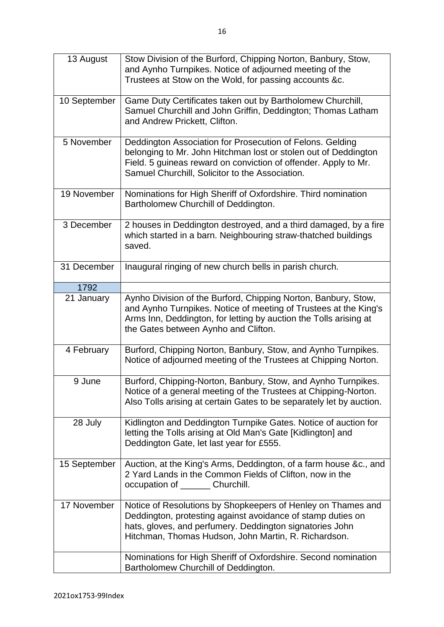| 13 August    | Stow Division of the Burford, Chipping Norton, Banbury, Stow,<br>and Aynho Turnpikes. Notice of adjourned meeting of the<br>Trustees at Stow on the Wold, for passing accounts &c.                                                                 |
|--------------|----------------------------------------------------------------------------------------------------------------------------------------------------------------------------------------------------------------------------------------------------|
| 10 September | Game Duty Certificates taken out by Bartholomew Churchill,<br>Samuel Churchill and John Griffin, Deddington; Thomas Latham<br>and Andrew Prickett, Clifton.                                                                                        |
| 5 November   | Deddington Association for Prosecution of Felons. Gelding<br>belonging to Mr. John Hitchman lost or stolen out of Deddington<br>Field. 5 guineas reward on conviction of offender. Apply to Mr.<br>Samuel Churchill, Solicitor to the Association. |
| 19 November  | Nominations for High Sheriff of Oxfordshire. Third nomination<br>Bartholomew Churchill of Deddington.                                                                                                                                              |
| 3 December   | 2 houses in Deddington destroyed, and a third damaged, by a fire<br>which started in a barn. Neighbouring straw-thatched buildings<br>saved.                                                                                                       |
| 31 December  | Inaugural ringing of new church bells in parish church.                                                                                                                                                                                            |
| 1792         |                                                                                                                                                                                                                                                    |
| 21 January   | Aynho Division of the Burford, Chipping Norton, Banbury, Stow,<br>and Aynho Turnpikes. Notice of meeting of Trustees at the King's<br>Arms Inn, Deddington, for letting by auction the Tolls arising at<br>the Gates between Aynho and Clifton.    |
| 4 February   | Burford, Chipping Norton, Banbury, Stow, and Aynho Turnpikes.<br>Notice of adjourned meeting of the Trustees at Chipping Norton.                                                                                                                   |
| 9 June       | Burford, Chipping-Norton, Banbury, Stow, and Aynho Turnpikes.<br>Notice of a general meeting of the Trustees at Chipping-Norton.<br>Also Tolls arising at certain Gates to be separately let by auction.                                           |
| 28 July      | Kidlington and Deddington Turnpike Gates. Notice of auction for<br>letting the Tolls arising at Old Man's Gate [Kidlington] and<br>Deddington Gate, let last year for £555.                                                                        |
| 15 September | Auction, at the King's Arms, Deddington, of a farm house &c., and<br>2 Yard Lands in the Common Fields of Clifton, now in the<br>occupation of ________ Churchill.                                                                                 |
| 17 November  | Notice of Resolutions by Shopkeepers of Henley on Thames and<br>Deddington, protesting against avoidance of stamp duties on<br>hats, gloves, and perfumery. Deddington signatories John<br>Hitchman, Thomas Hudson, John Martin, R. Richardson.    |
|              | Nominations for High Sheriff of Oxfordshire. Second nomination<br>Bartholomew Churchill of Deddington.                                                                                                                                             |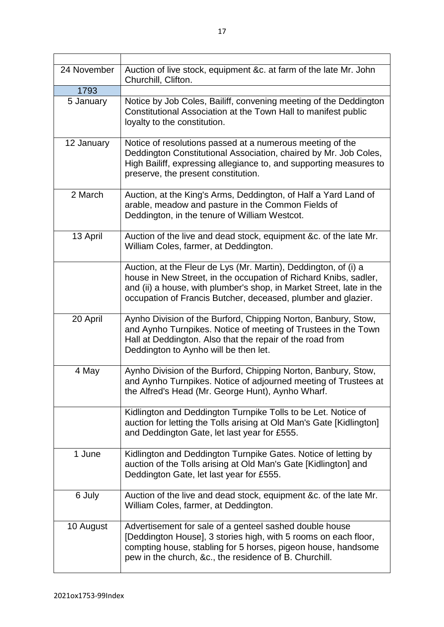| 24 November | Auction of live stock, equipment &c. at farm of the late Mr. John<br>Churchill, Clifton.                                                                                                                                                                                     |
|-------------|------------------------------------------------------------------------------------------------------------------------------------------------------------------------------------------------------------------------------------------------------------------------------|
| 1793        |                                                                                                                                                                                                                                                                              |
| 5 January   | Notice by Job Coles, Bailiff, convening meeting of the Deddington<br>Constitutional Association at the Town Hall to manifest public<br>loyalty to the constitution.                                                                                                          |
| 12 January  | Notice of resolutions passed at a numerous meeting of the<br>Deddington Constitutional Association, chaired by Mr. Job Coles,<br>High Bailiff, expressing allegiance to, and supporting measures to<br>preserve, the present constitution.                                   |
| 2 March     | Auction, at the King's Arms, Deddington, of Half a Yard Land of<br>arable, meadow and pasture in the Common Fields of<br>Deddington, in the tenure of William Westcot.                                                                                                       |
| 13 April    | Auction of the live and dead stock, equipment &c. of the late Mr.<br>William Coles, farmer, at Deddington.                                                                                                                                                                   |
|             | Auction, at the Fleur de Lys (Mr. Martin), Deddington, of (i) a<br>house in New Street, in the occupation of Richard Knibs, sadler,<br>and (ii) a house, with plumber's shop, in Market Street, late in the<br>occupation of Francis Butcher, deceased, plumber and glazier. |
| 20 April    | Aynho Division of the Burford, Chipping Norton, Banbury, Stow,<br>and Aynho Turnpikes. Notice of meeting of Trustees in the Town<br>Hall at Deddington. Also that the repair of the road from<br>Deddington to Aynho will be then let.                                       |
| 4 May       | Aynho Division of the Burford, Chipping Norton, Banbury, Stow,<br>and Aynho Turnpikes. Notice of adjourned meeting of Trustees at<br>the Alfred's Head (Mr. George Hunt), Aynho Wharf.                                                                                       |
|             | Kidlington and Deddington Turnpike Tolls to be Let. Notice of<br>auction for letting the Tolls arising at Old Man's Gate [Kidlington]<br>and Deddington Gate, let last year for £555.                                                                                        |
| 1 June      | Kidlington and Deddington Turnpike Gates. Notice of letting by<br>auction of the Tolls arising at Old Man's Gate [Kidlington] and<br>Deddington Gate, let last year for £555.                                                                                                |
| 6 July      | Auction of the live and dead stock, equipment &c. of the late Mr.<br>William Coles, farmer, at Deddington.                                                                                                                                                                   |
| 10 August   | Advertisement for sale of a genteel sashed double house<br>[Deddington House], 3 stories high, with 5 rooms on each floor,<br>compting house, stabling for 5 horses, pigeon house, handsome<br>pew in the church, &c., the residence of B. Churchill.                        |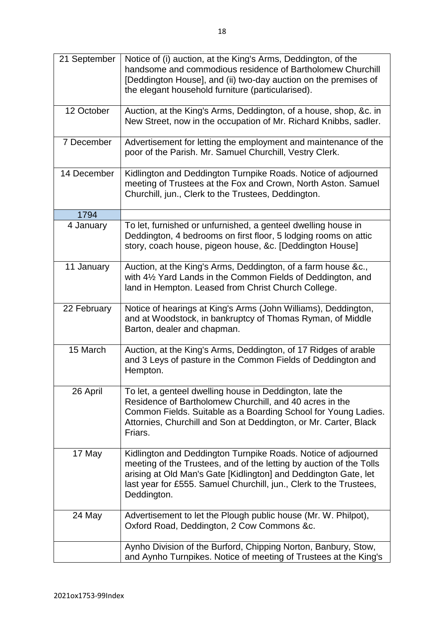| 21 September | Notice of (i) auction, at the King's Arms, Deddington, of the<br>handsome and commodious residence of Bartholomew Churchill<br>[Deddington House], and (ii) two-day auction on the premises of<br>the elegant household furniture (particularised).                                          |
|--------------|----------------------------------------------------------------------------------------------------------------------------------------------------------------------------------------------------------------------------------------------------------------------------------------------|
| 12 October   | Auction, at the King's Arms, Deddington, of a house, shop, &c. in<br>New Street, now in the occupation of Mr. Richard Knibbs, sadler.                                                                                                                                                        |
| 7 December   | Advertisement for letting the employment and maintenance of the<br>poor of the Parish. Mr. Samuel Churchill, Vestry Clerk.                                                                                                                                                                   |
| 14 December  | Kidlington and Deddington Turnpike Roads. Notice of adjourned<br>meeting of Trustees at the Fox and Crown, North Aston. Samuel<br>Churchill, jun., Clerk to the Trustees, Deddington.                                                                                                        |
| 1794         |                                                                                                                                                                                                                                                                                              |
| 4 January    | To let, furnished or unfurnished, a genteel dwelling house in<br>Deddington, 4 bedrooms on first floor, 5 lodging rooms on attic<br>story, coach house, pigeon house, &c. [Deddington House]                                                                                                 |
| 11 January   | Auction, at the King's Arms, Deddington, of a farm house &c.,<br>with 41% Yard Lands in the Common Fields of Deddington, and<br>land in Hempton. Leased from Christ Church College.                                                                                                          |
| 22 February  | Notice of hearings at King's Arms (John Williams), Deddington,<br>and at Woodstock, in bankruptcy of Thomas Ryman, of Middle<br>Barton, dealer and chapman.                                                                                                                                  |
| 15 March     | Auction, at the King's Arms, Deddington, of 17 Ridges of arable<br>and 3 Leys of pasture in the Common Fields of Deddington and<br>Hempton.                                                                                                                                                  |
| 26 April     | To let, a genteel dwelling house in Deddington, late the<br>Residence of Bartholomew Churchill, and 40 acres in the<br>Common Fields. Suitable as a Boarding School for Young Ladies.<br>Attornies, Churchill and Son at Deddington, or Mr. Carter, Black<br>Friars.                         |
| 17 May       | Kidlington and Deddington Turnpike Roads. Notice of adjourned<br>meeting of the Trustees, and of the letting by auction of the Tolls<br>arising at Old Man's Gate [Kidlington] and Deddington Gate, let<br>last year for £555. Samuel Churchill, jun., Clerk to the Trustees,<br>Deddington. |
| 24 May       | Advertisement to let the Plough public house (Mr. W. Philpot),<br>Oxford Road, Deddington, 2 Cow Commons &c.                                                                                                                                                                                 |
|              | Aynho Division of the Burford, Chipping Norton, Banbury, Stow,<br>and Aynho Turnpikes. Notice of meeting of Trustees at the King's                                                                                                                                                           |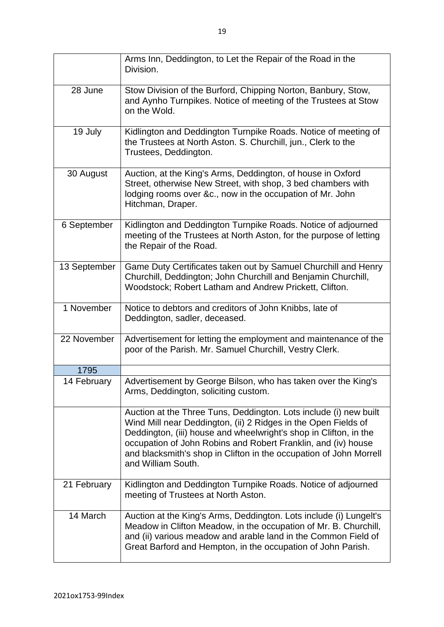|              | Arms Inn, Deddington, to Let the Repair of the Road in the<br>Division.                                                                                                                                                                                                                                                                                               |
|--------------|-----------------------------------------------------------------------------------------------------------------------------------------------------------------------------------------------------------------------------------------------------------------------------------------------------------------------------------------------------------------------|
| 28 June      | Stow Division of the Burford, Chipping Norton, Banbury, Stow,<br>and Aynho Turnpikes. Notice of meeting of the Trustees at Stow<br>on the Wold.                                                                                                                                                                                                                       |
| 19 July      | Kidlington and Deddington Turnpike Roads. Notice of meeting of<br>the Trustees at North Aston. S. Churchill, jun., Clerk to the<br>Trustees, Deddington.                                                                                                                                                                                                              |
| 30 August    | Auction, at the King's Arms, Deddington, of house in Oxford<br>Street, otherwise New Street, with shop, 3 bed chambers with<br>lodging rooms over &c., now in the occupation of Mr. John<br>Hitchman, Draper.                                                                                                                                                         |
| 6 September  | Kidlington and Deddington Turnpike Roads. Notice of adjourned<br>meeting of the Trustees at North Aston, for the purpose of letting<br>the Repair of the Road.                                                                                                                                                                                                        |
| 13 September | Game Duty Certificates taken out by Samuel Churchill and Henry<br>Churchill, Deddington; John Churchill and Benjamin Churchill,<br>Woodstock; Robert Latham and Andrew Prickett, Clifton.                                                                                                                                                                             |
| 1 November   | Notice to debtors and creditors of John Knibbs, late of<br>Deddington, sadler, deceased.                                                                                                                                                                                                                                                                              |
| 22 November  | Advertisement for letting the employment and maintenance of the<br>poor of the Parish. Mr. Samuel Churchill, Vestry Clerk.                                                                                                                                                                                                                                            |
| 1795         |                                                                                                                                                                                                                                                                                                                                                                       |
| 14 February  | Advertisement by George Bilson, who has taken over the King's<br>Arms, Deddington, soliciting custom.                                                                                                                                                                                                                                                                 |
|              | Auction at the Three Tuns, Deddington. Lots include (i) new built<br>Wind Mill near Deddington, (ii) 2 Ridges in the Open Fields of<br>Deddington, (iii) house and wheelwright's shop in Clifton, in the<br>occupation of John Robins and Robert Franklin, and (iv) house<br>and blacksmith's shop in Clifton in the occupation of John Morrell<br>and William South. |
| 21 February  | Kidlington and Deddington Turnpike Roads. Notice of adjourned<br>meeting of Trustees at North Aston.                                                                                                                                                                                                                                                                  |
| 14 March     | Auction at the King's Arms, Deddington. Lots include (i) Lungelt's<br>Meadow in Clifton Meadow, in the occupation of Mr. B. Churchill,<br>and (ii) various meadow and arable land in the Common Field of<br>Great Barford and Hempton, in the occupation of John Parish.                                                                                              |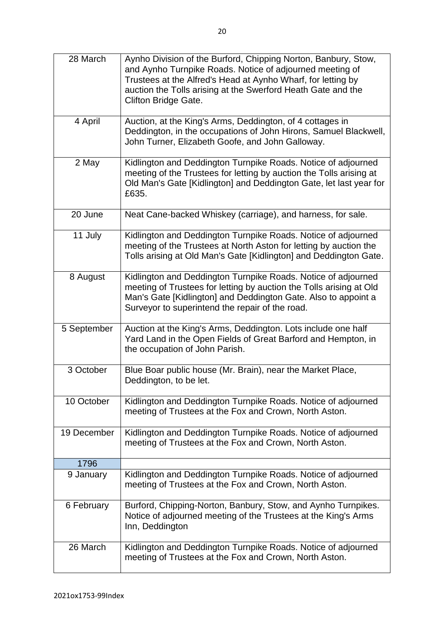| 28 March    | Aynho Division of the Burford, Chipping Norton, Banbury, Stow,<br>and Aynho Turnpike Roads. Notice of adjourned meeting of<br>Trustees at the Alfred's Head at Aynho Wharf, for letting by<br>auction the Tolls arising at the Swerford Heath Gate and the<br><b>Clifton Bridge Gate.</b> |
|-------------|-------------------------------------------------------------------------------------------------------------------------------------------------------------------------------------------------------------------------------------------------------------------------------------------|
| 4 April     | Auction, at the King's Arms, Deddington, of 4 cottages in<br>Deddington, in the occupations of John Hirons, Samuel Blackwell,<br>John Turner, Elizabeth Goofe, and John Galloway.                                                                                                         |
| 2 May       | Kidlington and Deddington Turnpike Roads. Notice of adjourned<br>meeting of the Trustees for letting by auction the Tolls arising at<br>Old Man's Gate [Kidlington] and Deddington Gate, let last year for<br>£635.                                                                       |
| 20 June     | Neat Cane-backed Whiskey (carriage), and harness, for sale.                                                                                                                                                                                                                               |
| 11 July     | Kidlington and Deddington Turnpike Roads. Notice of adjourned<br>meeting of the Trustees at North Aston for letting by auction the<br>Tolls arising at Old Man's Gate [Kidlington] and Deddington Gate.                                                                                   |
| 8 August    | Kidlington and Deddington Turnpike Roads. Notice of adjourned<br>meeting of Trustees for letting by auction the Tolls arising at Old<br>Man's Gate [Kidlington] and Deddington Gate. Also to appoint a<br>Surveyor to superintend the repair of the road.                                 |
| 5 September | Auction at the King's Arms, Deddington. Lots include one half<br>Yard Land in the Open Fields of Great Barford and Hempton, in<br>the occupation of John Parish.                                                                                                                          |
| 3 October   | Blue Boar public house (Mr. Brain), near the Market Place,<br>Deddington, to be let.                                                                                                                                                                                                      |
| 10 October  | Kidlington and Deddington Turnpike Roads. Notice of adjourned<br>meeting of Trustees at the Fox and Crown, North Aston.                                                                                                                                                                   |
| 19 December | Kidlington and Deddington Turnpike Roads. Notice of adjourned<br>meeting of Trustees at the Fox and Crown, North Aston.                                                                                                                                                                   |
| 1796        |                                                                                                                                                                                                                                                                                           |
| 9 January   | Kidlington and Deddington Turnpike Roads. Notice of adjourned<br>meeting of Trustees at the Fox and Crown, North Aston.                                                                                                                                                                   |
| 6 February  | Burford, Chipping-Norton, Banbury, Stow, and Aynho Turnpikes.<br>Notice of adjourned meeting of the Trustees at the King's Arms<br>Inn, Deddington                                                                                                                                        |
| 26 March    | Kidlington and Deddington Turnpike Roads. Notice of adjourned<br>meeting of Trustees at the Fox and Crown, North Aston.                                                                                                                                                                   |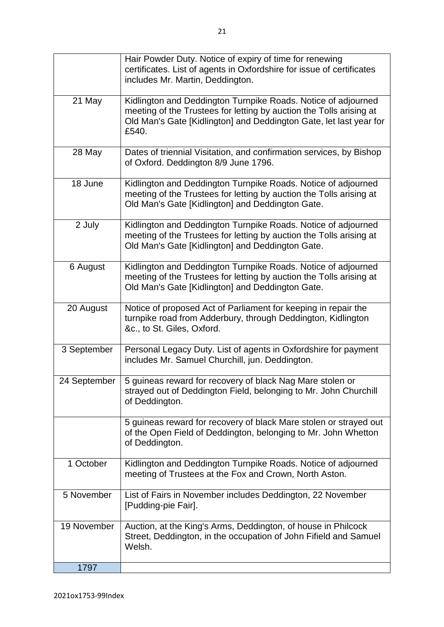|              | Hair Powder Duty. Notice of expiry of time for renewing<br>certificates. List of agents in Oxfordshire for issue of certificates<br>includes Mr. Martin, Deddington.                                                |
|--------------|---------------------------------------------------------------------------------------------------------------------------------------------------------------------------------------------------------------------|
| 21 May       | Kidlington and Deddington Turnpike Roads. Notice of adjourned<br>meeting of the Trustees for letting by auction the Tolls arising at<br>Old Man's Gate [Kidlington] and Deddington Gate, let last year for<br>£540. |
| 28 May       | Dates of triennial Visitation, and confirmation services, by Bishop<br>of Oxford. Deddington 8/9 June 1796.                                                                                                         |
| 18 June      | Kidlington and Deddington Turnpike Roads. Notice of adjourned<br>meeting of the Trustees for letting by auction the Tolls arising at<br>Old Man's Gate [Kidlington] and Deddington Gate.                            |
| 2 July       | Kidlington and Deddington Turnpike Roads. Notice of adjourned<br>meeting of the Trustees for letting by auction the Tolls arising at<br>Old Man's Gate [Kidlington] and Deddington Gate.                            |
| 6 August     | Kidlington and Deddington Turnpike Roads. Notice of adjourned<br>meeting of the Trustees for letting by auction the Tolls arising at<br>Old Man's Gate [Kidlington] and Deddington Gate.                            |
| 20 August    | Notice of proposed Act of Parliament for keeping in repair the<br>turnpike road from Adderbury, through Deddington, Kidlington<br>&c., to St. Giles, Oxford.                                                        |
| 3 September  | Personal Legacy Duty. List of agents in Oxfordshire for payment<br>includes Mr. Samuel Churchill, jun. Deddington.                                                                                                  |
| 24 September | 5 guineas reward for recovery of black Nag Mare stolen or<br>strayed out of Deddington Field, belonging to Mr. John Churchill<br>of Deddington.                                                                     |
|              | 5 guineas reward for recovery of black Mare stolen or strayed out<br>of the Open Field of Deddington, belonging to Mr. John Whetton<br>of Deddington.                                                               |
| 1 October    | Kidlington and Deddington Turnpike Roads. Notice of adjourned<br>meeting of Trustees at the Fox and Crown, North Aston.                                                                                             |
| 5 November   | List of Fairs in November includes Deddington, 22 November<br>[Pudding-pie Fair].                                                                                                                                   |
| 19 November  | Auction, at the King's Arms, Deddington, of house in Philcock<br>Street, Deddington, in the occupation of John Fifield and Samuel<br>Welsh.                                                                         |
| 1797         |                                                                                                                                                                                                                     |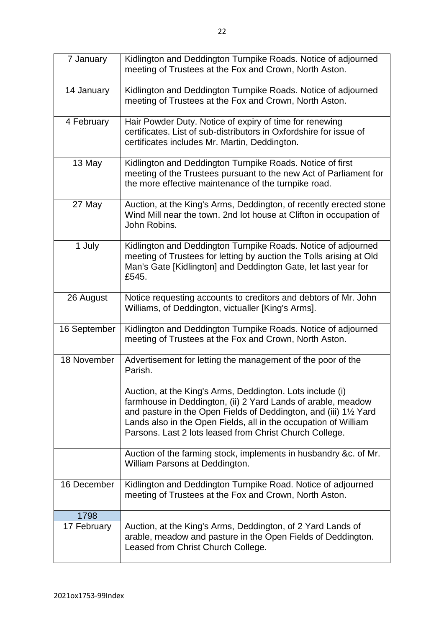| 7 January    | Kidlington and Deddington Turnpike Roads. Notice of adjourned<br>meeting of Trustees at the Fox and Crown, North Aston.                                                                                                                                                                                                      |
|--------------|------------------------------------------------------------------------------------------------------------------------------------------------------------------------------------------------------------------------------------------------------------------------------------------------------------------------------|
| 14 January   | Kidlington and Deddington Turnpike Roads. Notice of adjourned<br>meeting of Trustees at the Fox and Crown, North Aston.                                                                                                                                                                                                      |
| 4 February   | Hair Powder Duty. Notice of expiry of time for renewing<br>certificates. List of sub-distributors in Oxfordshire for issue of<br>certificates includes Mr. Martin, Deddington.                                                                                                                                               |
| 13 May       | Kidlington and Deddington Turnpike Roads. Notice of first<br>meeting of the Trustees pursuant to the new Act of Parliament for<br>the more effective maintenance of the turnpike road.                                                                                                                                       |
| 27 May       | Auction, at the King's Arms, Deddington, of recently erected stone<br>Wind Mill near the town. 2nd lot house at Clifton in occupation of<br>John Robins.                                                                                                                                                                     |
| 1 July       | Kidlington and Deddington Turnpike Roads. Notice of adjourned<br>meeting of Trustees for letting by auction the Tolls arising at Old<br>Man's Gate [Kidlington] and Deddington Gate, let last year for<br>£545.                                                                                                              |
| 26 August    | Notice requesting accounts to creditors and debtors of Mr. John<br>Williams, of Deddington, victualler [King's Arms].                                                                                                                                                                                                        |
| 16 September | Kidlington and Deddington Turnpike Roads. Notice of adjourned<br>meeting of Trustees at the Fox and Crown, North Aston.                                                                                                                                                                                                      |
| 18 November  | Advertisement for letting the management of the poor of the<br>Parish.                                                                                                                                                                                                                                                       |
|              | Auction, at the King's Arms, Deddington. Lots include (i)<br>farmhouse in Deddington, (ii) 2 Yard Lands of arable, meadow<br>and pasture in the Open Fields of Deddington, and (iii) 11/2 Yard<br>Lands also in the Open Fields, all in the occupation of William<br>Parsons. Last 2 lots leased from Christ Church College. |
|              | Auction of the farming stock, implements in husbandry &c. of Mr.<br>William Parsons at Deddington.                                                                                                                                                                                                                           |
| 16 December  | Kidlington and Deddington Turnpike Road. Notice of adjourned<br>meeting of Trustees at the Fox and Crown, North Aston.                                                                                                                                                                                                       |
| 1798         |                                                                                                                                                                                                                                                                                                                              |
| 17 February  | Auction, at the King's Arms, Deddington, of 2 Yard Lands of<br>arable, meadow and pasture in the Open Fields of Deddington.<br>Leased from Christ Church College.                                                                                                                                                            |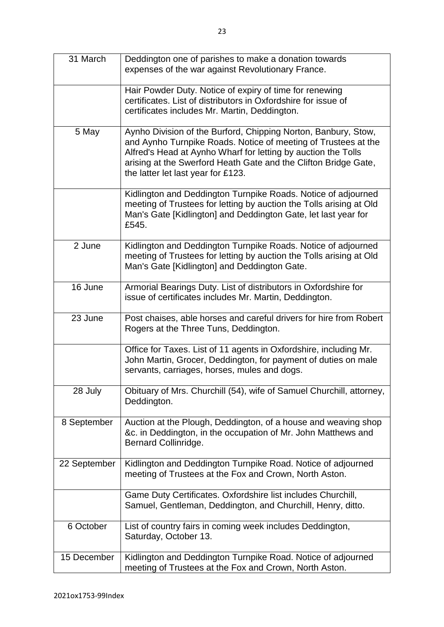| 31 March     | Deddington one of parishes to make a donation towards<br>expenses of the war against Revolutionary France.                                                                                                                                                                                                 |
|--------------|------------------------------------------------------------------------------------------------------------------------------------------------------------------------------------------------------------------------------------------------------------------------------------------------------------|
|              | Hair Powder Duty. Notice of expiry of time for renewing<br>certificates. List of distributors in Oxfordshire for issue of<br>certificates includes Mr. Martin, Deddington.                                                                                                                                 |
| 5 May        | Aynho Division of the Burford, Chipping Norton, Banbury, Stow,<br>and Aynho Turnpike Roads. Notice of meeting of Trustees at the<br>Alfred's Head at Aynho Wharf for letting by auction the Tolls<br>arising at the Swerford Heath Gate and the Clifton Bridge Gate,<br>the latter let last year for £123. |
|              | Kidlington and Deddington Turnpike Roads. Notice of adjourned<br>meeting of Trustees for letting by auction the Tolls arising at Old<br>Man's Gate [Kidlington] and Deddington Gate, let last year for<br>£545.                                                                                            |
| 2 June       | Kidlington and Deddington Turnpike Roads. Notice of adjourned<br>meeting of Trustees for letting by auction the Tolls arising at Old<br>Man's Gate [Kidlington] and Deddington Gate.                                                                                                                       |
| 16 June      | Armorial Bearings Duty. List of distributors in Oxfordshire for<br>issue of certificates includes Mr. Martin, Deddington.                                                                                                                                                                                  |
| 23 June      | Post chaises, able horses and careful drivers for hire from Robert<br>Rogers at the Three Tuns, Deddington.                                                                                                                                                                                                |
|              | Office for Taxes. List of 11 agents in Oxfordshire, including Mr.<br>John Martin, Grocer, Deddington, for payment of duties on male<br>servants, carriages, horses, mules and dogs.                                                                                                                        |
| 28 July      | Obituary of Mrs. Churchill (54), wife of Samuel Churchill, attorney,<br>Deddington.                                                                                                                                                                                                                        |
| 8 September  | Auction at the Plough, Deddington, of a house and weaving shop<br>&c. in Deddington, in the occupation of Mr. John Matthews and<br>Bernard Collinridge.                                                                                                                                                    |
| 22 September | Kidlington and Deddington Turnpike Road. Notice of adjourned<br>meeting of Trustees at the Fox and Crown, North Aston.                                                                                                                                                                                     |
|              | Game Duty Certificates. Oxfordshire list includes Churchill,<br>Samuel, Gentleman, Deddington, and Churchill, Henry, ditto.                                                                                                                                                                                |
| 6 October    | List of country fairs in coming week includes Deddington,<br>Saturday, October 13.                                                                                                                                                                                                                         |
| 15 December  | Kidlington and Deddington Turnpike Road. Notice of adjourned<br>meeting of Trustees at the Fox and Crown, North Aston.                                                                                                                                                                                     |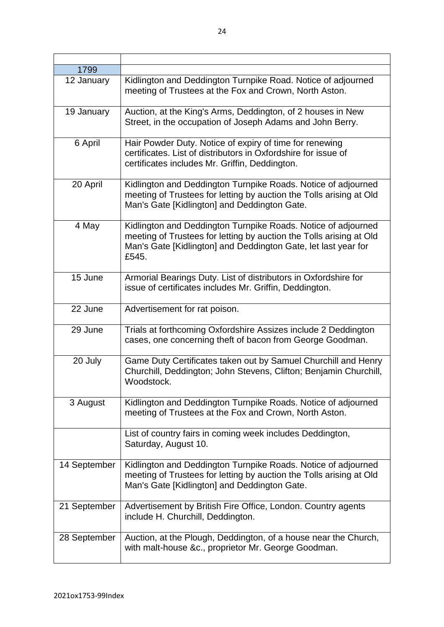| 1799         |                                                                                                                                                                                                                 |
|--------------|-----------------------------------------------------------------------------------------------------------------------------------------------------------------------------------------------------------------|
| 12 January   | Kidlington and Deddington Turnpike Road. Notice of adjourned<br>meeting of Trustees at the Fox and Crown, North Aston.                                                                                          |
| 19 January   | Auction, at the King's Arms, Deddington, of 2 houses in New<br>Street, in the occupation of Joseph Adams and John Berry.                                                                                        |
| 6 April      | Hair Powder Duty. Notice of expiry of time for renewing<br>certificates. List of distributors in Oxfordshire for issue of<br>certificates includes Mr. Griffin, Deddington.                                     |
| 20 April     | Kidlington and Deddington Turnpike Roads. Notice of adjourned<br>meeting of Trustees for letting by auction the Tolls arising at Old<br>Man's Gate [Kidlington] and Deddington Gate.                            |
| 4 May        | Kidlington and Deddington Turnpike Roads. Notice of adjourned<br>meeting of Trustees for letting by auction the Tolls arising at Old<br>Man's Gate [Kidlington] and Deddington Gate, let last year for<br>£545. |
| 15 June      | Armorial Bearings Duty. List of distributors in Oxfordshire for<br>issue of certificates includes Mr. Griffin, Deddington.                                                                                      |
| 22 June      | Advertisement for rat poison.                                                                                                                                                                                   |
| 29 June      | Trials at forthcoming Oxfordshire Assizes include 2 Deddington<br>cases, one concerning theft of bacon from George Goodman.                                                                                     |
| 20 July      | Game Duty Certificates taken out by Samuel Churchill and Henry<br>Churchill, Deddington; John Stevens, Clifton; Benjamin Churchill,<br>Woodstock.                                                               |
| 3 August     | Kidlington and Deddington Turnpike Roads. Notice of adjourned<br>meeting of Trustees at the Fox and Crown, North Aston.                                                                                         |
|              | List of country fairs in coming week includes Deddington,<br>Saturday, August 10.                                                                                                                               |
| 14 September | Kidlington and Deddington Turnpike Roads. Notice of adjourned<br>meeting of Trustees for letting by auction the Tolls arising at Old<br>Man's Gate [Kidlington] and Deddington Gate.                            |
| 21 September | Advertisement by British Fire Office, London. Country agents<br>include H. Churchill, Deddington.                                                                                                               |
| 28 September | Auction, at the Plough, Deddington, of a house near the Church,<br>with malt-house &c., proprietor Mr. George Goodman.                                                                                          |